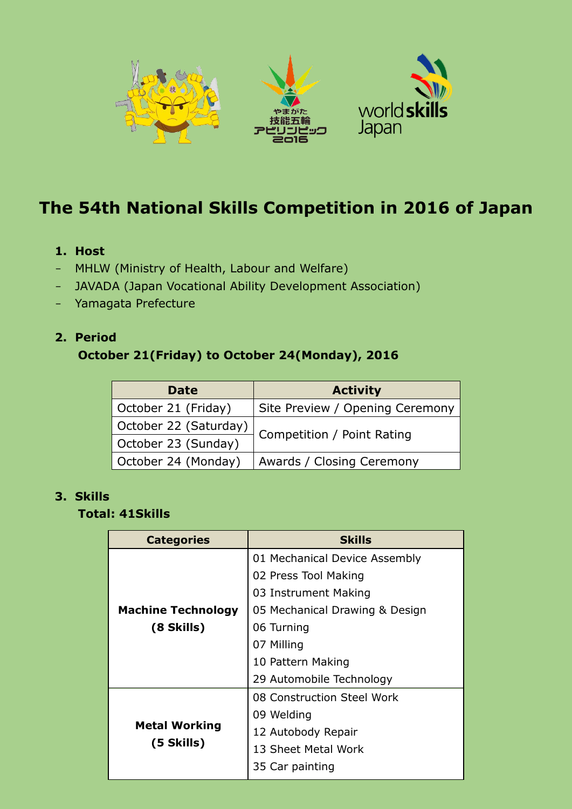

# **The 54th National Skills Competition in 2016 of Japan**

#### **1. Host**

- MHLW (Ministry of Health, Labour and Welfare)
- JAVADA (Japan Vocational Ability Development Association)
- Yamagata Prefecture

#### **2. Period**

### **October 21(Friday) to October 24(Monday), 2016**

| <b>Date</b>           | <b>Activity</b>                 |  |
|-----------------------|---------------------------------|--|
| October 21 (Friday)   | Site Preview / Opening Ceremony |  |
| October 22 (Saturday) |                                 |  |
| October 23 (Sunday)   | Competition / Point Rating      |  |
| October 24 (Monday)   | Awards / Closing Ceremony       |  |

#### **3. Skills**

#### **Total: 41Skills**

| <b>Categories</b>                       | <b>Skills</b>                  |
|-----------------------------------------|--------------------------------|
| <b>Machine Technology</b><br>(8 Skills) | 01 Mechanical Device Assembly  |
|                                         | 02 Press Tool Making           |
|                                         | 03 Instrument Making           |
|                                         | 05 Mechanical Drawing & Design |
|                                         | 06 Turning                     |
|                                         | 07 Milling                     |
|                                         | 10 Pattern Making              |
|                                         | 29 Automobile Technology       |
| <b>Metal Working</b><br>(5 Skills)      | 08 Construction Steel Work     |
|                                         | 09 Welding                     |
|                                         | 12 Autobody Repair             |
|                                         | 13 Sheet Metal Work            |
|                                         | 35 Car painting                |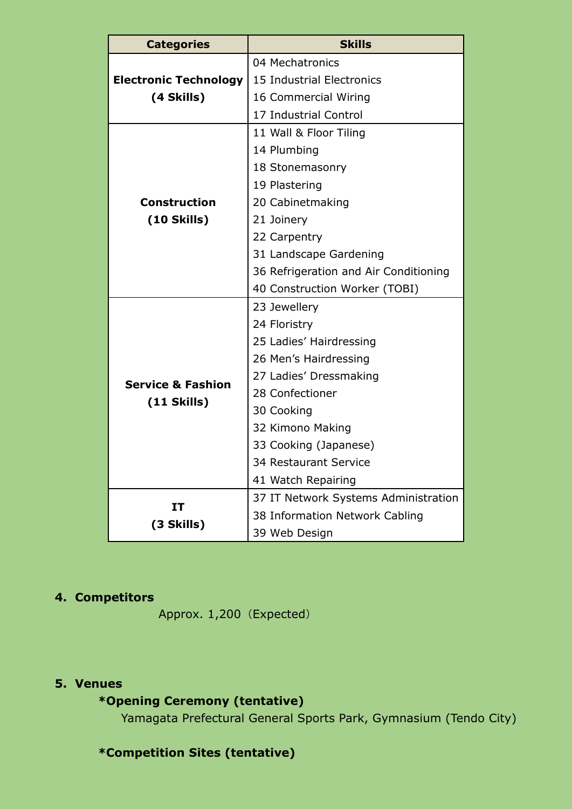| <b>Categories</b>                    | <b>Skills</b>                         |
|--------------------------------------|---------------------------------------|
|                                      | 04 Mechatronics                       |
| <b>Electronic Technology</b>         | 15 Industrial Electronics             |
| (4 Skills)                           | 16 Commercial Wiring                  |
|                                      | 17 Industrial Control                 |
|                                      | 11 Wall & Floor Tiling                |
|                                      | 14 Plumbing                           |
|                                      | 18 Stonemasonry                       |
| <b>Construction</b><br>$(10$ Skills) | 19 Plastering                         |
|                                      | 20 Cabinetmaking                      |
|                                      | 21 Joinery                            |
|                                      | 22 Carpentry                          |
|                                      | 31 Landscape Gardening                |
|                                      | 36 Refrigeration and Air Conditioning |
|                                      | 40 Construction Worker (TOBI)         |
|                                      | 23 Jewellery                          |
|                                      | 24 Floristry                          |
|                                      | 25 Ladies' Hairdressing               |
|                                      | 26 Men's Hairdressing                 |
| <b>Service &amp; Fashion</b>         | 27 Ladies' Dressmaking                |
| $(11$ Skills)                        | 28 Confectioner                       |
|                                      | 30 Cooking                            |
|                                      | 32 Kimono Making                      |
|                                      | 33 Cooking (Japanese)                 |
|                                      | 34 Restaurant Service                 |
|                                      | 41 Watch Repairing                    |
| IT<br>(3 Skills)                     | 37 IT Network Systems Administration  |
|                                      | 38 Information Network Cabling        |
|                                      | 39 Web Design                         |

## **4. Competitors**

Approx. 1,200 (Expected)

#### **5. Venues**

# **\*Opening Ceremony (tentative)**

Yamagata Prefectural General Sports Park, Gymnasium (Tendo City)

# **\*Competition Sites (tentative)**